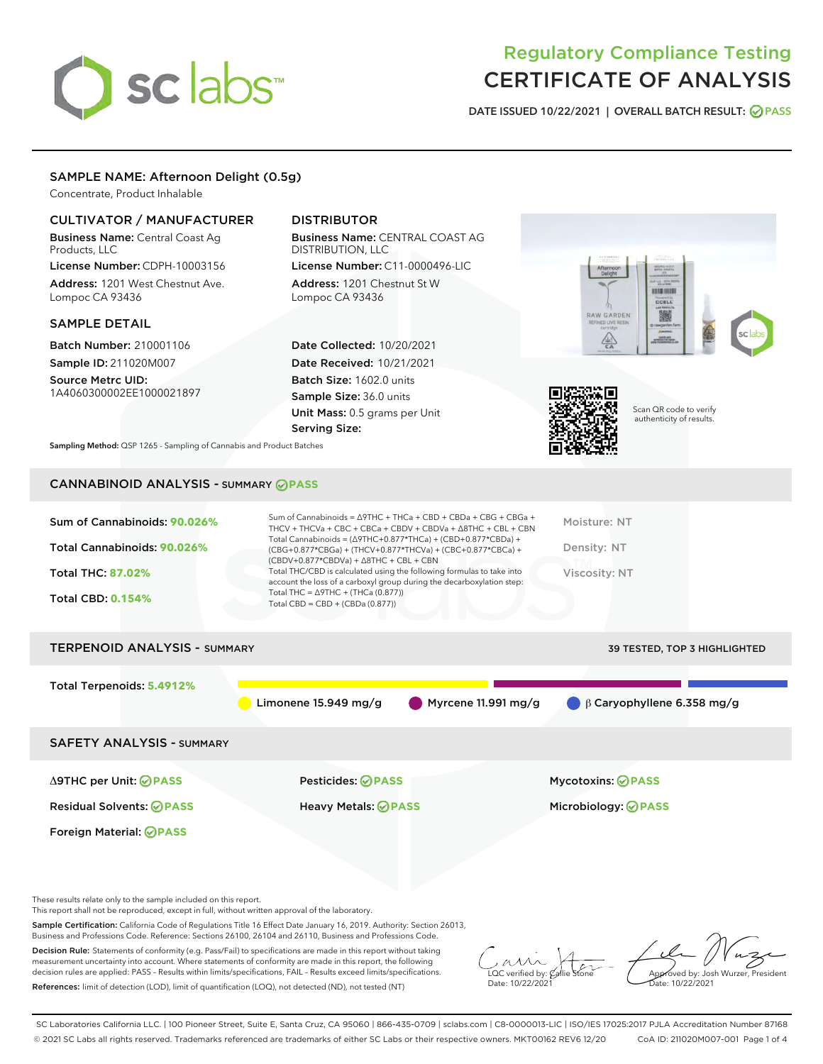# sclabs<sup>\*</sup>

# Regulatory Compliance Testing CERTIFICATE OF ANALYSIS

DATE ISSUED 10/22/2021 | OVERALL BATCH RESULT: @ PASS

#### SAMPLE NAME: Afternoon Delight (0.5g)

Concentrate, Product Inhalable

#### CULTIVATOR / MANUFACTURER

Business Name: Central Coast Ag Products, LLC License Number: CDPH-10003156

Address: 1201 West Chestnut Ave. Lompoc CA 93436

#### SAMPLE DETAIL

Batch Number: 210001106 Sample ID: 211020M007

Source Metrc UID: 1A4060300002EE1000021897

### DISTRIBUTOR

Business Name: CENTRAL COAST AG DISTRIBUTION, LLC License Number: C11-0000496-LIC

Address: 1201 Chestnut St W Lompoc CA 93436

Date Collected: 10/20/2021 Date Received: 10/21/2021 Batch Size: 1602.0 units Sample Size: 36.0 units Unit Mass: 0.5 grams per Unit Serving Size:





Scan QR code to verify authenticity of results.

Sampling Method: QSP 1265 - Sampling of Cannabis and Product Batches

# CANNABINOID ANALYSIS - SUMMARY **PASS**

| Sum of Cannabinoids: 90.026%<br>Total Cannabinoids: 90.026%<br><b>Total THC: 87.02%</b><br><b>Total CBD: 0.154%</b> | Sum of Cannabinoids = $\triangle$ 9THC + THCa + CBD + CBDa + CBG + CBGa +<br>THCV + THCVa + CBC + CBCa + CBDV + CBDVa + $\triangle$ 8THC + CBL + CBN<br>Total Cannabinoids = $(\Delta$ 9THC+0.877*THCa) + (CBD+0.877*CBDa) +<br>(CBG+0.877*CBGa) + (THCV+0.877*THCVa) + (CBC+0.877*CBCa) +<br>$(CBDV+0.877*CBDVa) + \Delta 8THC + CBL + CBN$<br>Total THC/CBD is calculated using the following formulas to take into<br>account the loss of a carboxyl group during the decarboxylation step:<br>Total THC = $\triangle$ 9THC + (THCa (0.877))<br>Total CBD = CBD + (CBDa (0.877)) | Moisture: NT<br>Density: NT<br>Viscosity: NT           |
|---------------------------------------------------------------------------------------------------------------------|-------------------------------------------------------------------------------------------------------------------------------------------------------------------------------------------------------------------------------------------------------------------------------------------------------------------------------------------------------------------------------------------------------------------------------------------------------------------------------------------------------------------------------------------------------------------------------------|--------------------------------------------------------|
| <b>TERPENOID ANALYSIS - SUMMARY</b>                                                                                 |                                                                                                                                                                                                                                                                                                                                                                                                                                                                                                                                                                                     | <b>39 TESTED, TOP 3 HIGHLIGHTED</b>                    |
| Total Terpenoids: 5.4912%                                                                                           | Myrcene 11.991 mg/g<br>Limonene $15.949$ mg/g                                                                                                                                                                                                                                                                                                                                                                                                                                                                                                                                       | $\beta$ Caryophyllene 6.358 mg/g                       |
| <b>SAFETY ANALYSIS - SUMMARY</b>                                                                                    |                                                                                                                                                                                                                                                                                                                                                                                                                                                                                                                                                                                     |                                                        |
| ∆9THC per Unit: ⊘PASS<br><b>Residual Solvents: ⊘PASS</b><br>Foreign Material: <b>⊘ PASS</b>                         | Pesticides: ⊘PASS<br><b>Heavy Metals: ⊘ PASS</b>                                                                                                                                                                                                                                                                                                                                                                                                                                                                                                                                    | <b>Mycotoxins: ⊘PASS</b><br>Microbiology: <b>OPASS</b> |

These results relate only to the sample included on this report.

This report shall not be reproduced, except in full, without written approval of the laboratory.

Sample Certification: California Code of Regulations Title 16 Effect Date January 16, 2019. Authority: Section 26013, Business and Professions Code. Reference: Sections 26100, 26104 and 26110, Business and Professions Code.

Decision Rule: Statements of conformity (e.g. Pass/Fail) to specifications are made in this report without taking measurement uncertainty into account. Where statements of conformity are made in this report, the following decision rules are applied: PASS – Results within limits/specifications, FAIL – Results exceed limits/specifications. References: limit of detection (LOD), limit of quantification (LOQ), not detected (ND), not tested (NT)

 $\sim$  CC verified by:  $\mathcal{C}$ allie Date: 10/22/2021

Approved by: Josh Wurzer, President ate: 10/22/2021

SC Laboratories California LLC. | 100 Pioneer Street, Suite E, Santa Cruz, CA 95060 | 866-435-0709 | sclabs.com | C8-0000013-LIC | ISO/IES 17025:2017 PJLA Accreditation Number 87168 © 2021 SC Labs all rights reserved. Trademarks referenced are trademarks of either SC Labs or their respective owners. MKT00162 REV6 12/20 CoA ID: 211020M007-001 Page 1 of 4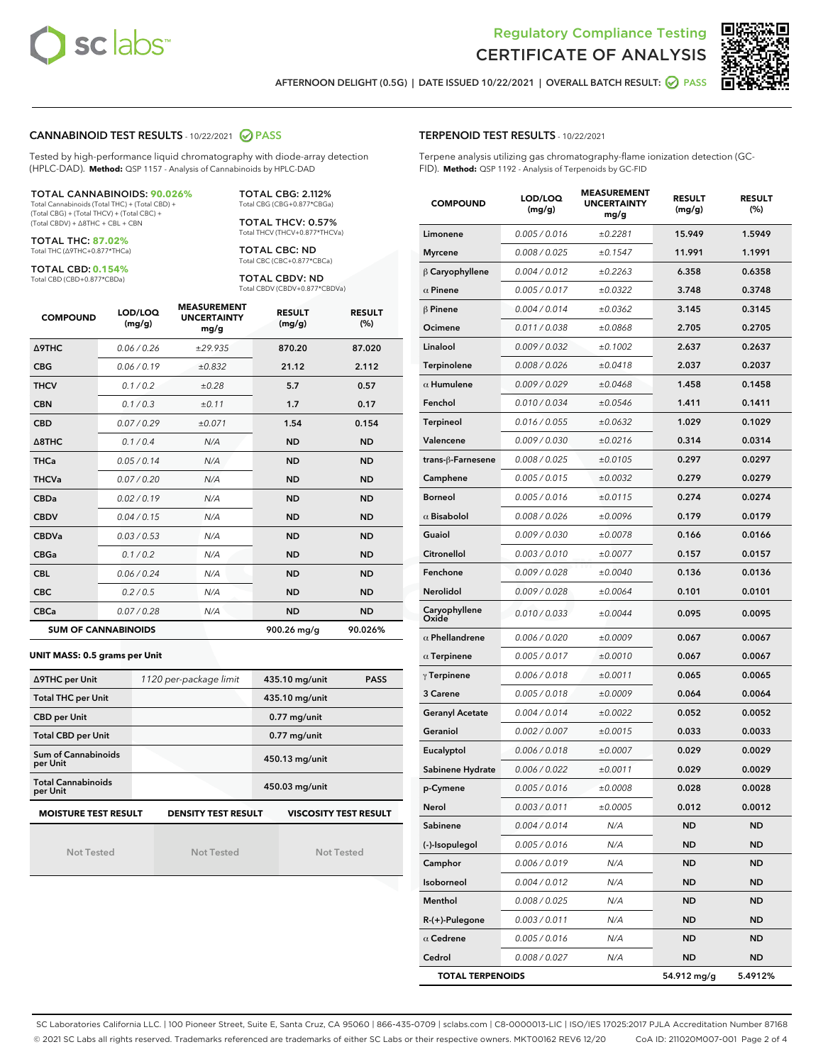



AFTERNOON DELIGHT (0.5G) | DATE ISSUED 10/22/2021 | OVERALL BATCH RESULT: 2 PASS

#### CANNABINOID TEST RESULTS - 10/22/2021 2 PASS

Tested by high-performance liquid chromatography with diode-array detection (HPLC-DAD). **Method:** QSP 1157 - Analysis of Cannabinoids by HPLC-DAD

#### TOTAL CANNABINOIDS: **90.026%**

Total Cannabinoids (Total THC) + (Total CBD) + (Total CBG) + (Total THCV) + (Total CBC) + (Total CBDV) + ∆8THC + CBL + CBN

TOTAL THC: **87.02%** Total THC (∆9THC+0.877\*THCa)

TOTAL CBD: **0.154%**

Total CBD (CBD+0.877\*CBDa)

TOTAL CBG: 2.112% Total CBG (CBG+0.877\*CBGa)

TOTAL THCV: 0.57% Total THCV (THCV+0.877\*THCVa)

TOTAL CBC: ND Total CBC (CBC+0.877\*CBCa)

TOTAL CBDV: ND Total CBDV (CBDV+0.877\*CBDVa)

| <b>COMPOUND</b>            | LOD/LOQ<br>(mg/g) | <b>MEASUREMENT</b><br><b>UNCERTAINTY</b><br>mg/g | <b>RESULT</b><br>(mg/g) | <b>RESULT</b><br>(%) |
|----------------------------|-------------------|--------------------------------------------------|-------------------------|----------------------|
| <b>A9THC</b>               | 0.06 / 0.26       | ±29.935                                          | 870.20                  | 87.020               |
| <b>CBG</b>                 | 0.06 / 0.19       | ±0.832                                           | 21.12                   | 2.112                |
| <b>THCV</b>                | 0.1 / 0.2         | ±0.28                                            | 5.7                     | 0.57                 |
| <b>CBN</b>                 | 0.1/0.3           | ±0.11                                            | 1.7                     | 0.17                 |
| <b>CBD</b>                 | 0.07/0.29         | ±0.071                                           | 1.54                    | 0.154                |
| $\triangle$ 8THC           | 0.1 / 0.4         | N/A                                              | <b>ND</b>               | <b>ND</b>            |
| <b>THCa</b>                | 0.05/0.14         | N/A                                              | <b>ND</b>               | <b>ND</b>            |
| <b>THCVa</b>               | 0.07/0.20         | N/A                                              | <b>ND</b>               | <b>ND</b>            |
| <b>CBDa</b>                | 0.02/0.19         | N/A                                              | <b>ND</b>               | <b>ND</b>            |
| <b>CBDV</b>                | 0.04 / 0.15       | N/A                                              | <b>ND</b>               | <b>ND</b>            |
| <b>CBDVa</b>               | 0.03/0.53         | N/A                                              | <b>ND</b>               | <b>ND</b>            |
| <b>CBGa</b>                | 0.1/0.2           | N/A                                              | <b>ND</b>               | <b>ND</b>            |
| <b>CBL</b>                 | 0.06 / 0.24       | N/A                                              | <b>ND</b>               | <b>ND</b>            |
| <b>CBC</b>                 | 0.2 / 0.5         | N/A                                              | <b>ND</b>               | <b>ND</b>            |
| <b>CBCa</b>                | 0.07 / 0.28       | N/A                                              | <b>ND</b>               | <b>ND</b>            |
| <b>SUM OF CANNABINOIDS</b> |                   |                                                  | 900.26 mg/g             | 90.026%              |

#### **UNIT MASS: 0.5 grams per Unit**

| ∆9THC per Unit                                                                            | 1120 per-package limit | 435.10 mg/unit<br><b>PASS</b> |  |  |  |
|-------------------------------------------------------------------------------------------|------------------------|-------------------------------|--|--|--|
| <b>Total THC per Unit</b>                                                                 |                        | 435.10 mg/unit                |  |  |  |
| <b>CBD per Unit</b>                                                                       |                        | $0.77$ mg/unit                |  |  |  |
| <b>Total CBD per Unit</b>                                                                 |                        | $0.77$ mg/unit                |  |  |  |
| Sum of Cannabinoids<br>per Unit                                                           |                        | 450.13 mg/unit                |  |  |  |
| <b>Total Cannabinoids</b><br>per Unit                                                     |                        | 450.03 mg/unit                |  |  |  |
| <b>MOISTURE TEST RESULT</b><br><b>VISCOSITY TEST RESULT</b><br><b>DENSITY TEST RESULT</b> |                        |                               |  |  |  |

Not Tested

Not Tested

Not Tested

#### TERPENOID TEST RESULTS - 10/22/2021

Terpene analysis utilizing gas chromatography-flame ionization detection (GC-FID). **Method:** QSP 1192 - Analysis of Terpenoids by GC-FID

| <b>COMPOUND</b>         | LOD/LOQ<br>(mg/g) | <b>MEASUREMENT</b><br><b>UNCERTAINTY</b><br>mg/g | <b>RESULT</b><br>(mg/g) | <b>RESULT</b><br>(%) |
|-------------------------|-------------------|--------------------------------------------------|-------------------------|----------------------|
| Limonene                | 0.005 / 0.016     | ±0.2281                                          | 15.949                  | 1.5949               |
| <b>Myrcene</b>          | 0.008 / 0.025     | ±0.1547                                          | 11.991                  | 1.1991               |
| $\beta$ Caryophyllene   | 0.004 / 0.012     | ±0.2263                                          | 6.358                   | 0.6358               |
| $\alpha$ Pinene         | 0.005 / 0.017     | ±0.0322                                          | 3.748                   | 0.3748               |
| $\beta$ Pinene          | 0.004 / 0.014     | ±0.0362                                          | 3.145                   | 0.3145               |
| Ocimene                 | 0.011 / 0.038     | ±0.0868                                          | 2.705                   | 0.2705               |
| Linalool                | 0.009 / 0.032     | ±0.1002                                          | 2.637                   | 0.2637               |
| Terpinolene             | 0.008 / 0.026     | ±0.0418                                          | 2.037                   | 0.2037               |
| $\alpha$ Humulene       | 0.009/0.029       | ±0.0468                                          | 1.458                   | 0.1458               |
| Fenchol                 | 0.010 / 0.034     | ±0.0546                                          | 1.411                   | 0.1411               |
| Terpineol               | 0.016 / 0.055     | ±0.0632                                          | 1.029                   | 0.1029               |
| Valencene               | 0.009 / 0.030     | ±0.0216                                          | 0.314                   | 0.0314               |
| trans-ß-Farnesene       | 0.008 / 0.025     | ±0.0105                                          | 0.297                   | 0.0297               |
| Camphene                | 0.005 / 0.015     | ±0.0032                                          | 0.279                   | 0.0279               |
| <b>Borneol</b>          | 0.005 / 0.016     | ±0.0115                                          | 0.274                   | 0.0274               |
| $\alpha$ Bisabolol      | 0.008 / 0.026     | ±0.0096                                          | 0.179                   | 0.0179               |
| Guaiol                  | 0.009 / 0.030     | ±0.0078                                          | 0.166                   | 0.0166               |
| Citronellol             | 0.003 / 0.010     | ±0.0077                                          | 0.157                   | 0.0157               |
| Fenchone                | 0.009 / 0.028     | ±0.0040                                          | 0.136                   | 0.0136               |
| Nerolidol               | 0.009 / 0.028     | ±0.0064                                          | 0.101                   | 0.0101               |
| Caryophyllene<br>Oxide  | 0.010 / 0.033     | ±0.0044                                          | 0.095                   | 0.0095               |
| $\alpha$ Phellandrene   | 0.006 / 0.020     | ±0.0009                                          | 0.067                   | 0.0067               |
| $\alpha$ Terpinene      | 0.005 / 0.017     | ±0.0010                                          | 0.067                   | 0.0067               |
| $\gamma$ Terpinene      | 0.006 / 0.018     | ±0.0011                                          | 0.065                   | 0.0065               |
| 3 Carene                | 0.005 / 0.018     | ±0.0009                                          | 0.064                   | 0.0064               |
| <b>Geranyl Acetate</b>  | 0.004 / 0.014     | ±0.0022                                          | 0.052                   | 0.0052               |
| Geraniol                | 0.002 / 0.007     | ±0.0015                                          | 0.033                   | 0.0033               |
| Eucalyptol              | 0.006 / 0.018     | ±0.0007                                          | 0.029                   | 0.0029               |
| Sabinene Hydrate        | 0.006 / 0.022     | ±0.0011                                          | 0.029                   | 0.0029               |
| p-Cymene                | 0.005 / 0.016     | ±0.0008                                          | 0.028                   | 0.0028               |
| Nerol                   | 0.003 / 0.011     | ±0.0005                                          | 0.012                   | 0.0012               |
| Sabinene                | 0.004 / 0.014     | N/A                                              | ND                      | ND                   |
| (-)-Isopulegol          | 0.005 / 0.016     | N/A                                              | ND                      | ND                   |
| Camphor                 | 0.006 / 0.019     | N/A                                              | ND                      | ND                   |
| Isoborneol              | 0.004 / 0.012     | N/A                                              | ND                      | ND                   |
| Menthol                 | 0.008 / 0.025     | N/A                                              | ND                      | ND                   |
| R-(+)-Pulegone          | 0.003 / 0.011     | N/A                                              | ND                      | ND                   |
| $\alpha$ Cedrene        | 0.005 / 0.016     | N/A                                              | ND                      | ND                   |
| Cedrol                  | 0.008 / 0.027     | N/A                                              | <b>ND</b>               | ND                   |
| <b>TOTAL TERPENOIDS</b> |                   | 54.912 mg/g                                      | 5.4912%                 |                      |

SC Laboratories California LLC. | 100 Pioneer Street, Suite E, Santa Cruz, CA 95060 | 866-435-0709 | sclabs.com | C8-0000013-LIC | ISO/IES 17025:2017 PJLA Accreditation Number 87168 © 2021 SC Labs all rights reserved. Trademarks referenced are trademarks of either SC Labs or their respective owners. MKT00162 REV6 12/20 CoA ID: 211020M007-001 Page 2 of 4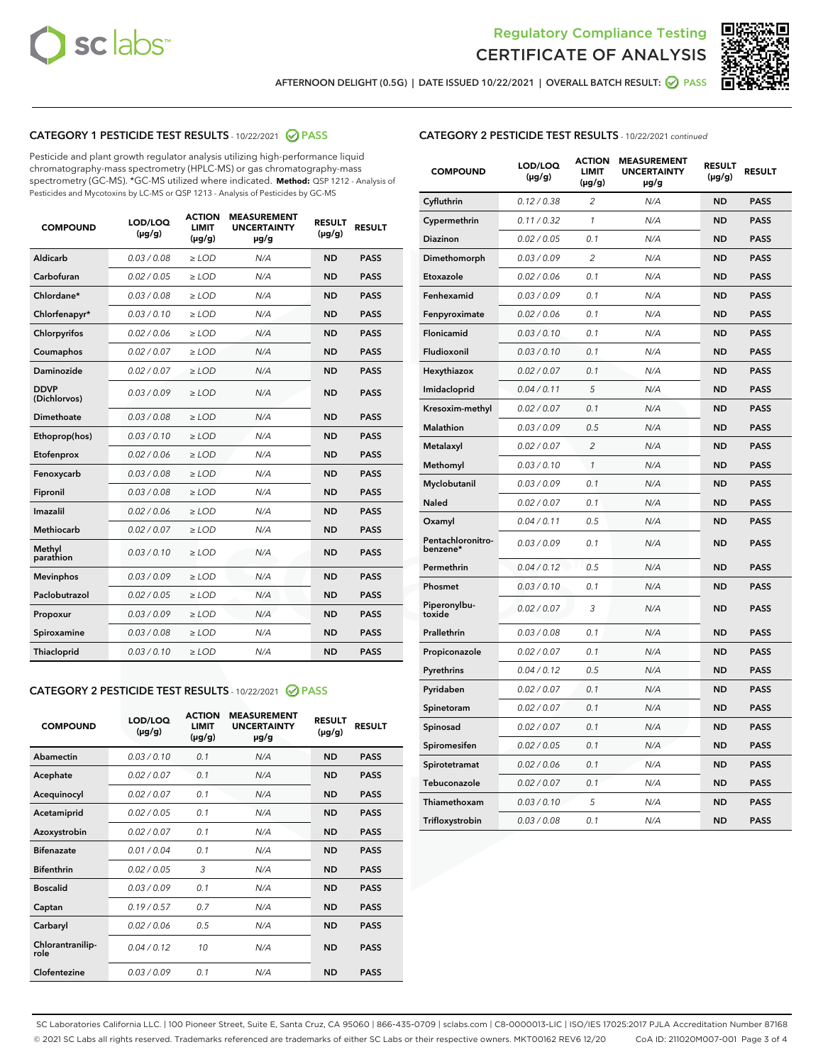



AFTERNOON DELIGHT (0.5G) | DATE ISSUED 10/22/2021 | OVERALL BATCH RESULT: @ PASS

# CATEGORY 1 PESTICIDE TEST RESULTS - 10/22/2021 @ PASS

Pesticide and plant growth regulator analysis utilizing high-performance liquid chromatography-mass spectrometry (HPLC-MS) or gas chromatography-mass spectrometry (GC-MS). \*GC-MS utilized where indicated. **Method:** QSP 1212 - Analysis of Pesticides and Mycotoxins by LC-MS or QSP 1213 - Analysis of Pesticides by GC-MS

| <b>COMPOUND</b>             | LOD/LOQ<br>$(\mu g/g)$ | <b>ACTION</b><br>LIMIT<br>$(\mu g/g)$ | <b>MEASUREMENT</b><br><b>UNCERTAINTY</b><br>µg/g | <b>RESULT</b><br>$(\mu g/g)$ | <b>RESULT</b> |
|-----------------------------|------------------------|---------------------------------------|--------------------------------------------------|------------------------------|---------------|
| Aldicarb                    | 0.03 / 0.08            | $\geq$ LOD                            | N/A                                              | <b>ND</b>                    | <b>PASS</b>   |
| Carbofuran                  | 0.02 / 0.05            | $>$ LOD                               | N/A                                              | <b>ND</b>                    | <b>PASS</b>   |
| Chlordane*                  | 0.03 / 0.08            | ≥ LOD                                 | N/A                                              | <b>ND</b>                    | <b>PASS</b>   |
| Chlorfenapyr*               | 0.03/0.10              | ≥ LOD                                 | N/A                                              | <b>ND</b>                    | <b>PASS</b>   |
| Chlorpyrifos                | 0.02 / 0.06            | $\geq$ LOD                            | N/A                                              | <b>ND</b>                    | <b>PASS</b>   |
| Coumaphos                   | 0.02 / 0.07            | ≥ LOD                                 | N/A                                              | <b>ND</b>                    | <b>PASS</b>   |
| Daminozide                  | 0.02 / 0.07            | $\geq$ LOD                            | N/A                                              | <b>ND</b>                    | <b>PASS</b>   |
| <b>DDVP</b><br>(Dichlorvos) | 0.03/0.09              | $\geq$ LOD                            | N/A                                              | <b>ND</b>                    | <b>PASS</b>   |
| Dimethoate                  | 0.03 / 0.08            | $\ge$ LOD                             | N/A                                              | <b>ND</b>                    | <b>PASS</b>   |
| Ethoprop(hos)               | 0.03/0.10              | $>$ LOD                               | N/A                                              | <b>ND</b>                    | <b>PASS</b>   |
| Etofenprox                  | 0.02 / 0.06            | $>$ LOD                               | N/A                                              | <b>ND</b>                    | <b>PASS</b>   |
| Fenoxycarb                  | 0.03 / 0.08            | $\geq$ LOD                            | N/A                                              | <b>ND</b>                    | <b>PASS</b>   |
| Fipronil                    | 0.03/0.08              | $\geq$ LOD                            | N/A                                              | <b>ND</b>                    | <b>PASS</b>   |
| Imazalil                    | 0.02 / 0.06            | $\geq$ LOD                            | N/A                                              | <b>ND</b>                    | <b>PASS</b>   |
| <b>Methiocarb</b>           | 0.02 / 0.07            | ≥ LOD                                 | N/A                                              | <b>ND</b>                    | <b>PASS</b>   |
| Methyl<br>parathion         | 0.03/0.10              | $\geq$ LOD                            | N/A                                              | <b>ND</b>                    | <b>PASS</b>   |
| <b>Mevinphos</b>            | 0.03/0.09              | $\geq$ LOD                            | N/A                                              | <b>ND</b>                    | <b>PASS</b>   |
| Paclobutrazol               | 0.02 / 0.05            | $\geq$ LOD                            | N/A                                              | <b>ND</b>                    | <b>PASS</b>   |
| Propoxur                    | 0.03/0.09              | ≥ LOD                                 | N/A                                              | <b>ND</b>                    | <b>PASS</b>   |
| Spiroxamine                 | 0.03 / 0.08            | $\ge$ LOD                             | N/A                                              | <b>ND</b>                    | <b>PASS</b>   |
| <b>Thiacloprid</b>          | 0.03/0.10              | $\geq$ LOD                            | N/A                                              | <b>ND</b>                    | <b>PASS</b>   |
|                             |                        |                                       |                                                  |                              |               |

## CATEGORY 2 PESTICIDE TEST RESULTS - 10/22/2021 @ PASS

| <b>COMPOUND</b>          | LOD/LOQ<br>$(\mu g/g)$ | <b>ACTION</b><br>LIMIT<br>$(\mu g/g)$ | <b>MEASUREMENT</b><br><b>UNCERTAINTY</b><br>$\mu$ g/g | <b>RESULT</b><br>$(\mu g/g)$ | <b>RESULT</b> |
|--------------------------|------------------------|---------------------------------------|-------------------------------------------------------|------------------------------|---------------|
| Abamectin                | 0.03/0.10              | 0.1                                   | N/A                                                   | <b>ND</b>                    | <b>PASS</b>   |
| Acephate                 | 0.02/0.07              | 0.1                                   | N/A                                                   | <b>ND</b>                    | <b>PASS</b>   |
| Acequinocyl              | 0.02/0.07              | 0.1                                   | N/A                                                   | <b>ND</b>                    | <b>PASS</b>   |
| Acetamiprid              | 0.02 / 0.05            | 0.1                                   | N/A                                                   | <b>ND</b>                    | <b>PASS</b>   |
| Azoxystrobin             | 0.02/0.07              | 0.1                                   | N/A                                                   | <b>ND</b>                    | <b>PASS</b>   |
| <b>Bifenazate</b>        | 0.01/0.04              | 0.1                                   | N/A                                                   | <b>ND</b>                    | <b>PASS</b>   |
| <b>Bifenthrin</b>        | 0.02 / 0.05            | 3                                     | N/A                                                   | <b>ND</b>                    | <b>PASS</b>   |
| <b>Boscalid</b>          | 0.03/0.09              | 0.1                                   | N/A                                                   | <b>ND</b>                    | <b>PASS</b>   |
| Captan                   | 0.19/0.57              | 0.7                                   | N/A                                                   | <b>ND</b>                    | <b>PASS</b>   |
| Carbaryl                 | 0.02/0.06              | 0.5                                   | N/A                                                   | <b>ND</b>                    | <b>PASS</b>   |
| Chlorantranilip-<br>role | 0.04/0.12              | 10                                    | N/A                                                   | <b>ND</b>                    | <b>PASS</b>   |
| Clofentezine             | 0.03/0.09              | 0.1                                   | N/A                                                   | <b>ND</b>                    | <b>PASS</b>   |

#### CATEGORY 2 PESTICIDE TEST RESULTS - 10/22/2021 continued

| <b>COMPOUND</b>               | LOD/LOQ<br>(µg/g) | <b>ACTION</b><br><b>LIMIT</b><br>(µg/g) | <b>MEASUREMENT</b><br><b>UNCERTAINTY</b><br>µg/g | <b>RESULT</b><br>(µg/g) | <b>RESULT</b> |
|-------------------------------|-------------------|-----------------------------------------|--------------------------------------------------|-------------------------|---------------|
| Cyfluthrin                    | 0.12 / 0.38       | $\overline{c}$                          | N/A                                              | <b>ND</b>               | <b>PASS</b>   |
| Cypermethrin                  | 0.11/0.32         | 1                                       | N/A                                              | <b>ND</b>               | <b>PASS</b>   |
| Diazinon                      | 0.02 / 0.05       | 0.1                                     | N/A                                              | <b>ND</b>               | <b>PASS</b>   |
| Dimethomorph                  | 0.03 / 0.09       | 2                                       | N/A                                              | <b>ND</b>               | <b>PASS</b>   |
| Etoxazole                     | 0.02 / 0.06       | 0.1                                     | N/A                                              | <b>ND</b>               | <b>PASS</b>   |
| Fenhexamid                    | 0.03 / 0.09       | 0.1                                     | N/A                                              | <b>ND</b>               | <b>PASS</b>   |
| Fenpyroximate                 | 0.02 / 0.06       | 0.1                                     | N/A                                              | <b>ND</b>               | <b>PASS</b>   |
| Flonicamid                    | 0.03 / 0.10       | 0.1                                     | N/A                                              | ND                      | <b>PASS</b>   |
| Fludioxonil                   | 0.03 / 0.10       | 0.1                                     | N/A                                              | <b>ND</b>               | <b>PASS</b>   |
| Hexythiazox                   | 0.02 / 0.07       | 0.1                                     | N/A                                              | <b>ND</b>               | <b>PASS</b>   |
| Imidacloprid                  | 0.04 / 0.11       | 5                                       | N/A                                              | <b>ND</b>               | <b>PASS</b>   |
| Kresoxim-methyl               | 0.02 / 0.07       | 0.1                                     | N/A                                              | <b>ND</b>               | <b>PASS</b>   |
| <b>Malathion</b>              | 0.03 / 0.09       | 0.5                                     | N/A                                              | <b>ND</b>               | <b>PASS</b>   |
| Metalaxyl                     | 0.02 / 0.07       | $\overline{c}$                          | N/A                                              | <b>ND</b>               | <b>PASS</b>   |
| Methomyl                      | 0.03/0.10         | 1                                       | N/A                                              | <b>ND</b>               | <b>PASS</b>   |
| Myclobutanil                  | 0.03 / 0.09       | 0.1                                     | N/A                                              | <b>ND</b>               | <b>PASS</b>   |
| Naled                         | 0.02 / 0.07       | 0.1                                     | N/A                                              | ND                      | <b>PASS</b>   |
| Oxamyl                        | 0.04 / 0.11       | 0.5                                     | N/A                                              | ND                      | <b>PASS</b>   |
| Pentachloronitro-<br>benzene* | 0.03 / 0.09       | 0.1                                     | N/A                                              | <b>ND</b>               | <b>PASS</b>   |
| Permethrin                    | 0.04 / 0.12       | 0.5                                     | N/A                                              | <b>ND</b>               | <b>PASS</b>   |
| Phosmet                       | 0.03 / 0.10       | 0.1                                     | N/A                                              | <b>ND</b>               | <b>PASS</b>   |
| Piperonylbu-<br>toxide        | 0.02 / 0.07       | 3                                       | N/A                                              | <b>ND</b>               | <b>PASS</b>   |
| Prallethrin                   | 0.03 / 0.08       | 0.1                                     | N/A                                              | <b>ND</b>               | <b>PASS</b>   |
| Propiconazole                 | 0.02 / 0.07       | 0.1                                     | N/A                                              | ND                      | <b>PASS</b>   |
| Pyrethrins                    | 0.04 / 0.12       | 0.5                                     | N/A                                              | ND                      | <b>PASS</b>   |
| Pyridaben                     | 0.02 / 0.07       | 0.1                                     | N/A                                              | <b>ND</b>               | <b>PASS</b>   |
| Spinetoram                    | 0.02 / 0.07       | 0.1                                     | N/A                                              | ND                      | <b>PASS</b>   |
| Spinosad                      | 0.02 / 0.07       | 0.1                                     | N/A                                              | <b>ND</b>               | <b>PASS</b>   |
| Spiromesifen                  | 0.02 / 0.05       | 0.1                                     | N/A                                              | <b>ND</b>               | <b>PASS</b>   |
| Spirotetramat                 | 0.02 / 0.06       | 0.1                                     | N/A                                              | <b>ND</b>               | <b>PASS</b>   |
| Tebuconazole                  | 0.02 / 0.07       | 0.1                                     | N/A                                              | ND                      | <b>PASS</b>   |
| Thiamethoxam                  | 0.03 / 0.10       | 5                                       | N/A                                              | <b>ND</b>               | <b>PASS</b>   |
| Trifloxystrobin               | 0.03 / 0.08       | 0.1                                     | N/A                                              | <b>ND</b>               | <b>PASS</b>   |

SC Laboratories California LLC. | 100 Pioneer Street, Suite E, Santa Cruz, CA 95060 | 866-435-0709 | sclabs.com | C8-0000013-LIC | ISO/IES 17025:2017 PJLA Accreditation Number 87168 © 2021 SC Labs all rights reserved. Trademarks referenced are trademarks of either SC Labs or their respective owners. MKT00162 REV6 12/20 CoA ID: 211020M007-001 Page 3 of 4